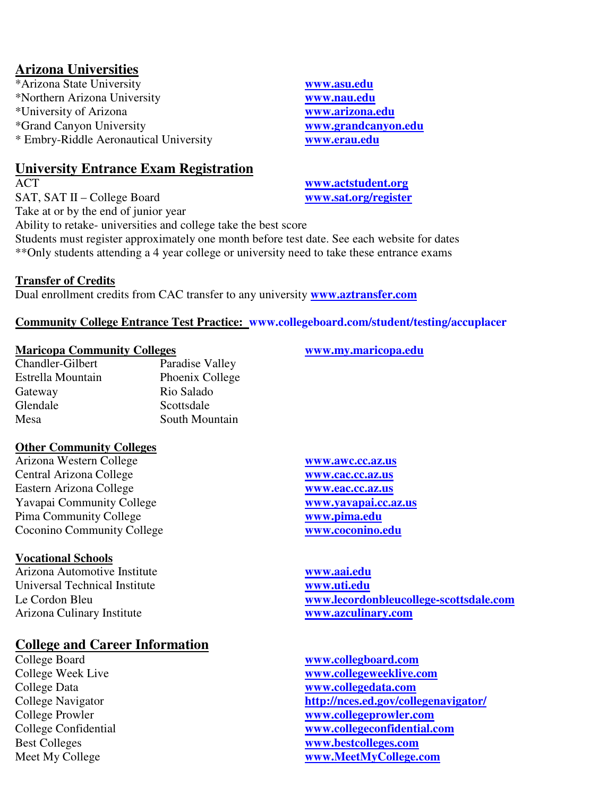# **Arizona Universities**

\*Arizona State University **www.asu.edu** \*Northern Arizona University **www.nau.edu** \*University of Arizona **www.arizona.edu** \*Grand Canyon University **www.grandcanyon.edu** \* Embry-Riddle Aeronautical University **www.erau.edu**

# **University Entrance Exam Registration**

SAT, SAT II – College Board **www.sat.org/register** Take at or by the end of junior year

ACT **www.actstudent.org**

Ability to retake- universities and college take the best score Students must register approximately one month before test date. See each website for dates \*\*Only students attending a 4 year college or university need to take these entrance exams

### **Transfer of Credits**

Dual enrollment credits from CAC transfer to any university **www.aztransfer.com**

## **Community College Entrance Test Practice: www.collegeboard.com/student/testing/accuplacer**

#### **Maricopa Community Colleges www.my.maricopa.edu**

Chandler-Gilbert Paradise Valley Estrella Mountain Phoenix College Gateway Rio Salado Glendale Scottsdale Mesa South Mountain

### **Other Community Colleges**

Arizona Western College **www.awc.cc.az.us** Central Arizona College **www.cac.cc.az.us** Eastern Arizona College **www.eac.cc.az.us** Yavapai Community College **www.yavapai.cc.az.us** Pima Community College **www.pima.edu** Coconino Community College **www.coconino.edu**

### **Vocational Schools**

Arizona Automotive Institute **www.aai.edu Universal Technical Institute** Arizona Culinary Institute **www.azculinary.com**

# **College and Career Information**

Le Cordon Bleu **www.lecordonbleucollege-scottsdale.com**

College Board **www.collegboard.com** College Week Live **www.collegeweeklive.com** College Data **www.collegedata.com** College Navigator **http://nces.ed.gov/collegenavigator/** College Prowler **www.collegeprowler.com** College Confidential **www.collegeconfidential.com** Best Colleges **www.bestcolleges.com** Meet My College **www.MeetMyCollege.com**